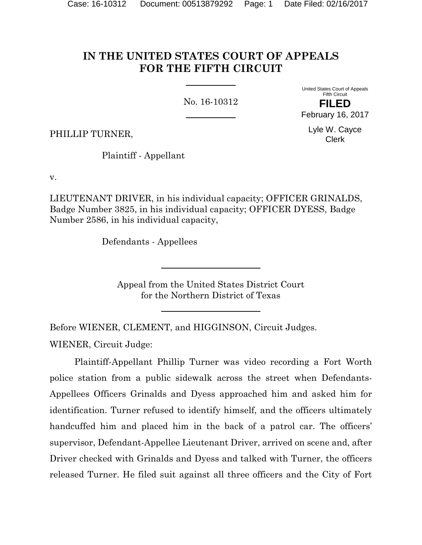# **IN THE UNITED STATES COURT OF APPEALS FOR THE FIFTH CIRCUIT**

No. 16-10312

United States Court of Appeals Fifth Circuit **FILED** February 16, 2017

> Lyle W. Cayce Clerk

PHILLIP TURNER,

Plaintiff - Appellant

v.

LIEUTENANT DRIVER, in his individual capacity; OFFICER GRINALDS, Badge Number 3825, in his individual capacity; OFFICER DYESS, Badge Number 2586, in his individual capacity,

Defendants - Appellees

Appeal from the United States District Court for the Northern District of Texas

Before WIENER, CLEMENT, and HIGGINSON, Circuit Judges.

WIENER, Circuit Judge:

Plaintiff-Appellant Phillip Turner was video recording a Fort Worth police station from a public sidewalk across the street when Defendants-Appellees Officers Grinalds and Dyess approached him and asked him for identification. Turner refused to identify himself, and the officers ultimately handcuffed him and placed him in the back of a patrol car. The officers' supervisor, Defendant-Appellee Lieutenant Driver, arrived on scene and, after Driver checked with Grinalds and Dyess and talked with Turner, the officers released Turner. He filed suit against all three officers and the City of Fort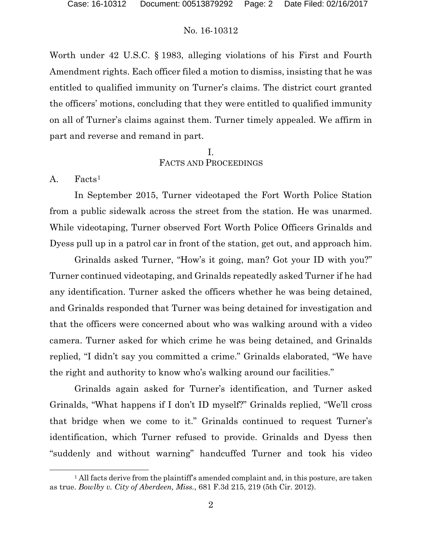Worth under 42 U.S.C. § 1983, alleging violations of his First and Fourth Amendment rights. Each officer filed a motion to dismiss, insisting that he was entitled to qualified immunity on Turner's claims. The district court granted the officers' motions, concluding that they were entitled to qualified immunity on all of Turner's claims against them. Turner timely appealed. We affirm in part and reverse and remand in part.

### I. FACTS AND PROCEEDINGS

A. Facts<sup>1</sup>

l

In September 2015, Turner videotaped the Fort Worth Police Station from a public sidewalk across the street from the station. He was unarmed. While videotaping, Turner observed Fort Worth Police Officers Grinalds and Dyess pull up in a patrol car in front of the station, get out, and approach him.

Grinalds asked Turner, "How's it going, man? Got your ID with you?" Turner continued videotaping, and Grinalds repeatedly asked Turner if he had any identification. Turner asked the officers whether he was being detained, and Grinalds responded that Turner was being detained for investigation and that the officers were concerned about who was walking around with a video camera. Turner asked for which crime he was being detained, and Grinalds replied, "I didn't say you committed a crime." Grinalds elaborated, "We have the right and authority to know who's walking around our facilities."

Grinalds again asked for Turner's identification, and Turner asked Grinalds, "What happens if I don't ID myself?" Grinalds replied, "We'll cross that bridge when we come to it." Grinalds continued to request Turner's identification, which Turner refused to provide. Grinalds and Dyess then "suddenly and without warning" handcuffed Turner and took his video

<sup>&</sup>lt;sup>1</sup> All facts derive from the plaintiff's amended complaint and, in this posture, are taken as true. *Bowlby v. City of Aberdeen, Miss.*, 681 F.3d 215, 219 (5th Cir. 2012).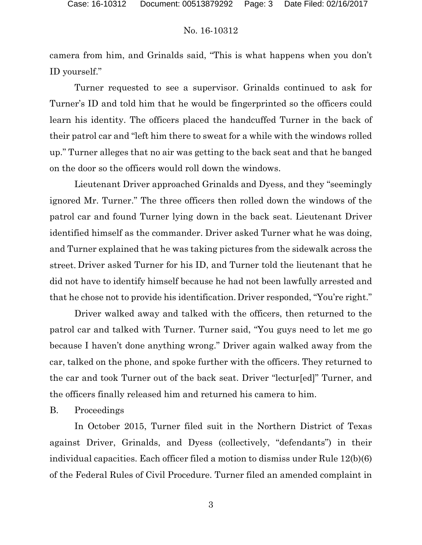camera from him, and Grinalds said, "This is what happens when you don't ID yourself."

 Turner requested to see a supervisor. Grinalds continued to ask for Turner's ID and told him that he would be fingerprinted so the officers could learn his identity. The officers placed the handcuffed Turner in the back of their patrol car and "left him there to sweat for a while with the windows rolled up." Turner alleges that no air was getting to the back seat and that he banged on the door so the officers would roll down the windows.

Lieutenant Driver approached Grinalds and Dyess, and they "seemingly ignored Mr. Turner." The three officers then rolled down the windows of the patrol car and found Turner lying down in the back seat. Lieutenant Driver identified himself as the commander. Driver asked Turner what he was doing, and Turner explained that he was taking pictures from the sidewalk across the street. Driver asked Turner for his ID, and Turner told the lieutenant that he did not have to identify himself because he had not been lawfully arrested and that he chose not to provide his identification.Driver responded, "You're right."

Driver walked away and talked with the officers, then returned to the patrol car and talked with Turner. Turner said, "You guys need to let me go because I haven't done anything wrong." Driver again walked away from the car, talked on the phone, and spoke further with the officers. They returned to the car and took Turner out of the back seat. Driver "lectur[ed]" Turner, and the officers finally released him and returned his camera to him.

### B. Proceedings

In October 2015, Turner filed suit in the Northern District of Texas against Driver, Grinalds, and Dyess (collectively, "defendants") in their individual capacities. Each officer filed a motion to dismiss under Rule 12(b)(6) of the Federal Rules of Civil Procedure. Turner filed an amended complaint in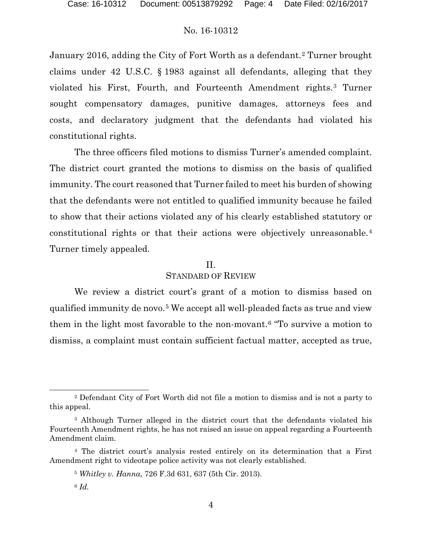January 2016, adding the City of Fort Worth as a defendant.2 Turner brought claims under 42 U.S.C. § 1983 against all defendants, alleging that they violated his First, Fourth, and Fourteenth Amendment rights.3 Turner sought compensatory damages, punitive damages, attorneys fees and costs, and declaratory judgment that the defendants had violated his constitutional rights.

The three officers filed motions to dismiss Turner's amended complaint. The district court granted the motions to dismiss on the basis of qualified immunity. The court reasoned that Turner failed to meet his burden of showing that the defendants were not entitled to qualified immunity because he failed to show that their actions violated any of his clearly established statutory or constitutional rights or that their actions were objectively unreasonable.4 Turner timely appealed.

### II. STANDARD OF REVIEW

We review a district court's grant of a motion to dismiss based on qualified immunity de novo.<sup>5</sup> We accept all well-pleaded facts as true and view them in the light most favorable to the non-movant.6 "To survive a motion to dismiss, a complaint must contain sufficient factual matter, accepted as true,

<sup>2</sup> Defendant City of Fort Worth did not file a motion to dismiss and is not a party to this appeal.

<sup>&</sup>lt;sup>3</sup> Although Turner alleged in the district court that the defendants violated his Fourteenth Amendment rights, he has not raised an issue on appeal regarding a Fourteenth Amendment claim.

<sup>4</sup> The district court's analysis rested entirely on its determination that a First Amendment right to videotape police activity was not clearly established.

<sup>5</sup> *Whitley v. Hanna*, 726 F.3d 631, 637 (5th Cir. 2013).

<sup>6</sup> *Id.*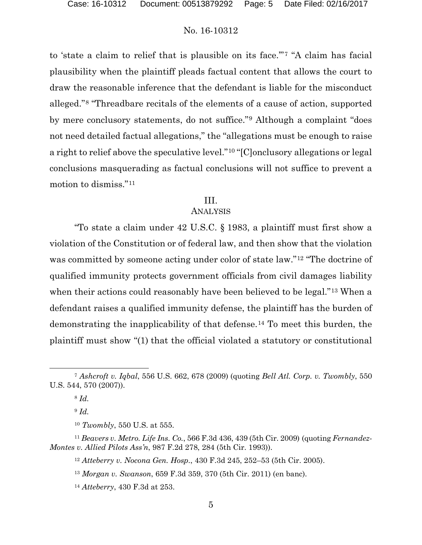to 'state a claim to relief that is plausible on its face.'"7 "A claim has facial plausibility when the plaintiff pleads factual content that allows the court to draw the reasonable inference that the defendant is liable for the misconduct alleged."8 "Threadbare recitals of the elements of a cause of action, supported by mere conclusory statements, do not suffice."9 Although a complaint "does not need detailed factual allegations," the "allegations must be enough to raise a right to relief above the speculative level."10 "[C]onclusory allegations or legal conclusions masquerading as factual conclusions will not suffice to prevent a motion to dismiss."11

### III.

#### ANALYSIS

"To state a claim under 42 U.S.C. § 1983, a plaintiff must first show a violation of the Constitution or of federal law, and then show that the violation was committed by someone acting under color of state law."12 "The doctrine of qualified immunity protects government officials from civil damages liability when their actions could reasonably have been believed to be legal."<sup>13</sup> When a defendant raises a qualified immunity defense, the plaintiff has the burden of demonstrating the inapplicability of that defense.14 To meet this burden, the plaintiff must show "(1) that the official violated a statutory or constitutional

<sup>7</sup> *Ashcroft v. Iqbal*, 556 U.S. 662, 678 (2009) (quoting *Bell Atl. Corp. v. Twombly*, 550 U.S. 544, 570 (2007)).

<sup>8</sup> *Id.*

<sup>9</sup> *Id.*

<sup>10</sup> *Twombly*, 550 U.S. at 555.

<sup>11</sup> *Beavers v. Metro. Life Ins. Co.*, 566 F.3d 436, 439 (5th Cir. 2009) (quoting *Fernandez-Montes v. Allied Pilots Ass'n*, 987 F.2d 278, 284 (5th Cir. 1993)).

<sup>12</sup> *Atteberry v. Nocona Gen. Hosp.*, 430 F.3d 245, 252–53 (5th Cir. 2005).

<sup>13</sup> *Morgan v. Swanson*, 659 F.3d 359, 370 (5th Cir. 2011) (en banc).

<sup>14</sup> *Atteberry*, 430 F.3d at 253.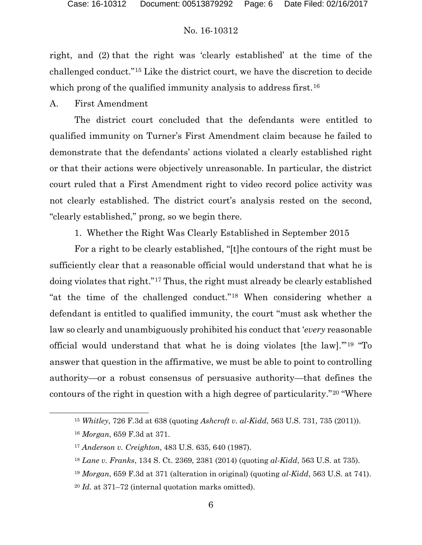right, and (2) that the right was 'clearly established' at the time of the challenged conduct."15 Like the district court, we have the discretion to decide which prong of the qualified immunity analysis to address first.<sup>16</sup>

A. First Amendment

The district court concluded that the defendants were entitled to qualified immunity on Turner's First Amendment claim because he failed to demonstrate that the defendants' actions violated a clearly established right or that their actions were objectively unreasonable. In particular, the district court ruled that a First Amendment right to video record police activity was not clearly established. The district court's analysis rested on the second, "clearly established," prong, so we begin there.

1. Whether the Right Was Clearly Established in September 2015

For a right to be clearly established, "[t]he contours of the right must be sufficiently clear that a reasonable official would understand that what he is doing violates that right."17 Thus, the right must already be clearly established "at the time of the challenged conduct."18 When considering whether a defendant is entitled to qualified immunity, the court "must ask whether the law so clearly and unambiguously prohibited his conduct that '*every* reasonable official would understand that what he is doing violates [the law].'"19 "To answer that question in the affirmative, we must be able to point to controlling authority—or a robust consensus of persuasive authority—that defines the contours of the right in question with a high degree of particularity."20 "Where

<sup>15</sup> *Whitley*, 726 F.3d at 638 (quoting *Ashcroft v. al-Kidd*, 563 U.S. 731, 735 (2011)).

<sup>16</sup> *Morgan*, 659 F.3d at 371.

<sup>17</sup> *Anderson v. Creighton*, 483 U.S. 635, 640 (1987).

<sup>18</sup> *Lane v. Franks*, 134 S. Ct. 2369, 2381 (2014) (quoting *al-Kidd*, 563 U.S. at 735).

<sup>19</sup> *Morgan*, 659 F.3d at 371 (alteration in original) (quoting *al-Kidd*, 563 U.S. at 741).

<sup>20</sup> *Id.* at 371–72 (internal quotation marks omitted).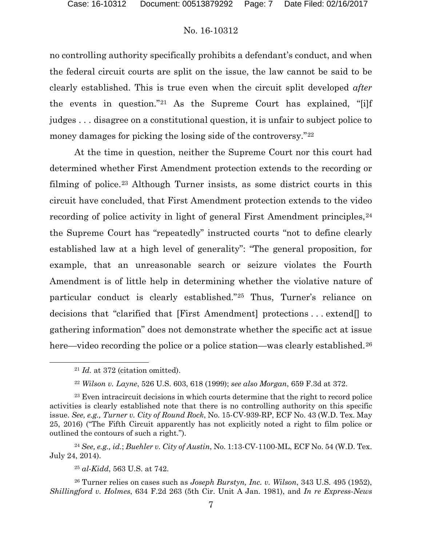no controlling authority specifically prohibits a defendant's conduct, and when the federal circuit courts are split on the issue, the law cannot be said to be clearly established. This is true even when the circuit split developed *after* the events in question."21 As the Supreme Court has explained, "[i]f judges . . . disagree on a constitutional question, it is unfair to subject police to money damages for picking the losing side of the controversy."<sup>22</sup>

At the time in question, neither the Supreme Court nor this court had determined whether First Amendment protection extends to the recording or filming of police.23 Although Turner insists, as some district courts in this circuit have concluded, that First Amendment protection extends to the video recording of police activity in light of general First Amendment principles,  $24$ the Supreme Court has "repeatedly" instructed courts "not to define clearly established law at a high level of generality": "The general proposition, for example, that an unreasonable search or seizure violates the Fourth Amendment is of little help in determining whether the violative nature of particular conduct is clearly established."25 Thus, Turner's reliance on decisions that "clarified that [First Amendment] protections . . . extend[] to gathering information" does not demonstrate whether the specific act at issue here—video recording the police or a police station—was clearly established.<sup>26</sup>

<sup>24</sup> *See, e.g., id.*; *Buehler v. City of Austin*, No. 1:13-CV-1100-ML, ECF No. 54 (W.D. Tex. July 24, 2014).

<sup>26</sup> Turner relies on cases such as *Joseph Burstyn, Inc. v. Wilson*, 343 U.S. 495 (1952), *Shillingford v. Holmes*, 634 F.2d 263 (5th Cir. Unit A Jan. 1981), and *In re Express-News* 

 <sup>21</sup> *Id.* at 372 (citation omitted).

<sup>22</sup> *Wilson v. Layne*, 526 U.S. 603, 618 (1999); *see also Morgan*, 659 F.3d at 372.

<sup>&</sup>lt;sup>23</sup> Even intracircuit decisions in which courts determine that the right to record police activities is clearly established note that there is no controlling authority on this specific issue. *See, e.g., Turner v. City of Round Rock*, No. 15-CV-939-RP, ECF No. 43 (W.D. Tex. May 25, 2016) ("The Fifth Circuit apparently has not explicitly noted a right to film police or outlined the contours of such a right.").

<sup>25</sup> *al-Kidd*, 563 U.S. at 742.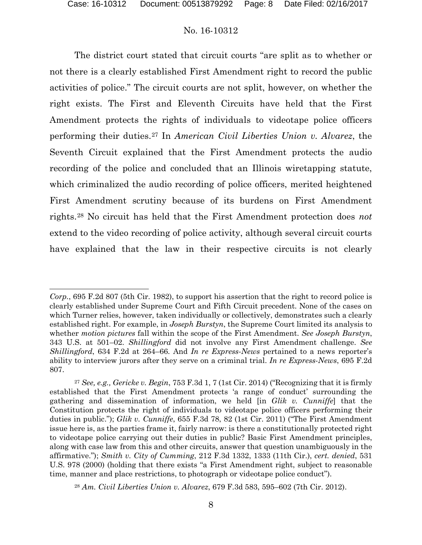The district court stated that circuit courts "are split as to whether or not there is a clearly established First Amendment right to record the public activities of police." The circuit courts are not split, however, on whether the right exists. The First and Eleventh Circuits have held that the First Amendment protects the rights of individuals to videotape police officers performing their duties.27 In *American Civil Liberties Union v. Alvarez*, the Seventh Circuit explained that the First Amendment protects the audio recording of the police and concluded that an Illinois wiretapping statute, which criminalized the audio recording of police officers, merited heightened First Amendment scrutiny because of its burdens on First Amendment rights.28 No circuit has held that the First Amendment protection does *not*  extend to the video recording of police activity, although several circuit courts have explained that the law in their respective circuits is not clearly

*Corp.*, 695 F.2d 807 (5th Cir. 1982), to support his assertion that the right to record police is clearly established under Supreme Court and Fifth Circuit precedent. None of the cases on which Turner relies, however, taken individually or collectively, demonstrates such a clearly established right. For example, in *Joseph Burstyn*, the Supreme Court limited its analysis to whether *motion pictures* fall within the scope of the First Amendment. *See Joseph Burstyn*, 343 U.S. at 501–02. *Shillingford* did not involve any First Amendment challenge. *See Shillingford*, 634 F.2d at 264–66. And *In re Express-News* pertained to a news reporter's ability to interview jurors after they serve on a criminal trial. *In re Express-News*, 695 F.2d 807.

<sup>27</sup> *See, e.g., Gericke v. Begin*, 753 F.3d 1, 7 (1st Cir. 2014) ("Recognizing that it is firmly established that the First Amendment protects 'a range of conduct' surrounding the gathering and dissemination of information, we held [in *Glik v. Cunniffe*] that the Constitution protects the right of individuals to videotape police officers performing their duties in public."); *Glik v. Cunniffe*, 655 F.3d 78, 82 (1st Cir. 2011) ("The First Amendment issue here is, as the parties frame it, fairly narrow: is there a constitutionally protected right to videotape police carrying out their duties in public? Basic First Amendment principles, along with case law from this and other circuits, answer that question unambiguously in the affirmative."); *Smith v. City of Cumming*, 212 F.3d 1332, 1333 (11th Cir.), *cert. denied*, 531 U.S. 978 (2000) (holding that there exists "a First Amendment right, subject to reasonable time, manner and place restrictions, to photograph or videotape police conduct").

<sup>28</sup> *Am. Civil Liberties Union v. Alvarez*, 679 F.3d 583, 595–602 (7th Cir. 2012).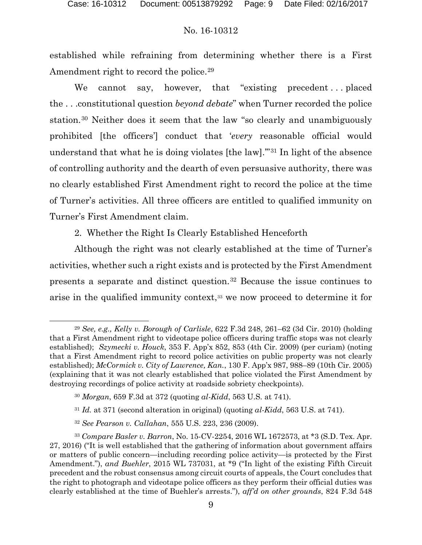established while refraining from determining whether there is a First Amendment right to record the police.<sup>29</sup>

We cannot say, however, that "existing precedent...placed the . . .constitutional question *beyond debate*" when Turner recorded the police station.30 Neither does it seem that the law "so clearly and unambiguously prohibited [the officers'] conduct that '*every* reasonable official would understand that what he is doing violates [the law].'"31 In light of the absence of controlling authority and the dearth of even persuasive authority, there was no clearly established First Amendment right to record the police at the time of Turner's activities. All three officers are entitled to qualified immunity on Turner's First Amendment claim.

2. Whether the Right Is Clearly Established Henceforth

Although the right was not clearly established at the time of Turner's activities, whether such a right exists and is protected by the First Amendment presents a separate and distinct question.32 Because the issue continues to arise in the qualified immunity context,33 we now proceed to determine it for

<sup>29</sup> *See, e.g., Kelly v. Borough of Carlisle*, 622 F.3d 248, 261–62 (3d Cir. 2010) (holding that a First Amendment right to videotape police officers during traffic stops was not clearly established); *Szymecki v. Houck*, 353 F. App'x 852, 853 (4th Cir. 2009) (per curiam) (noting that a First Amendment right to record police activities on public property was not clearly established); *McCormick v. City of Lawrence, Kan.*, 130 F. App'x 987, 988–89 (10th Cir. 2005) (explaining that it was not clearly established that police violated the First Amendment by destroying recordings of police activity at roadside sobriety checkpoints).

<sup>30</sup> *Morgan*, 659 F.3d at 372 (quoting *al-Kidd*, 563 U.S. at 741).

<sup>31</sup> *Id.* at 371 (second alteration in original) (quoting *al-Kidd*, 563 U.S. at 741).

<sup>32</sup> *See Pearson v. Callahan*, 555 U.S. 223, 236 (2009).

<sup>33</sup> *Compare Basler v. Barron*, No. 15-CV-2254, 2016 WL 1672573, at \*3 (S.D. Tex. Apr. 27, 2016) ("It is well established that the gathering of information about government affairs or matters of public concern—including recording police activity—is protected by the First Amendment."), *and Buehler*, 2015 WL 737031, at \*9 ("In light of the existing Fifth Circuit precedent and the robust consensus among circuit courts of appeals, the Court concludes that the right to photograph and videotape police officers as they perform their official duties was clearly established at the time of Buehler's arrests."), *aff'd on other grounds*, 824 F.3d 548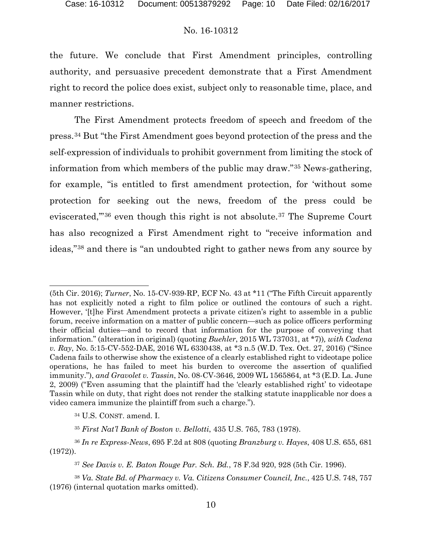the future. We conclude that First Amendment principles, controlling authority, and persuasive precedent demonstrate that a First Amendment right to record the police does exist, subject only to reasonable time, place, and manner restrictions.

The First Amendment protects freedom of speech and freedom of the press.34 But "the First Amendment goes beyond protection of the press and the self-expression of individuals to prohibit government from limiting the stock of information from which members of the public may draw."35 News-gathering, for example, "is entitled to first amendment protection, for 'without some protection for seeking out the news, freedom of the press could be eviscerated,'"36 even though this right is not absolute.37 The Supreme Court has also recognized a First Amendment right to "receive information and ideas,"38 and there is "an undoubted right to gather news from any source by

<sup>34</sup> U.S. CONST. amend. I.

<sup>(5</sup>th Cir. 2016); *Turner*, No. 15-CV-939-RP, ECF No. 43 at \*11 ("The Fifth Circuit apparently has not explicitly noted a right to film police or outlined the contours of such a right. However, '[t]he First Amendment protects a private citizen's right to assemble in a public forum, receive information on a matter of public concern—such as police officers performing their official duties—and to record that information for the purpose of conveying that information." (alteration in original) (quoting *Buehler*, 2015 WL 737031, at \*7))*, with Cadena v. Ray*, No. 5:15-CV-552-DAE, 2016 WL 6330438, at \*3 n.5 (W.D. Tex. Oct. 27, 2016) ("Since Cadena fails to otherwise show the existence of a clearly established right to videotape police operations, he has failed to meet his burden to overcome the assertion of qualified immunity."), *and Gravolet v. Tassin*, No. 08-CV-3646, 2009 WL 1565864, at \*3 (E.D. La. June 2, 2009) ("Even assuming that the plaintiff had the 'clearly established right' to videotape Tassin while on duty, that right does not render the stalking statute inapplicable nor does a video camera immunize the plaintiff from such a charge.").

<sup>35</sup> *First Nat'l Bank of Boston v. Bellotti*, 435 U.S. 765, 783 (1978).

<sup>36</sup> *In re Express-News*, 695 F.2d at 808 (quoting *Branzburg v. Hayes*, 408 U.S. 655, 681 (1972)).

<sup>37</sup> *See Davis v. E. Baton Rouge Par. Sch. Bd.*, 78 F.3d 920, 928 (5th Cir. 1996).

<sup>38</sup> *Va. State Bd. of Pharmacy v. Va. Citizens Consumer Council, Inc.*, 425 U.S. 748, 757 (1976) (internal quotation marks omitted).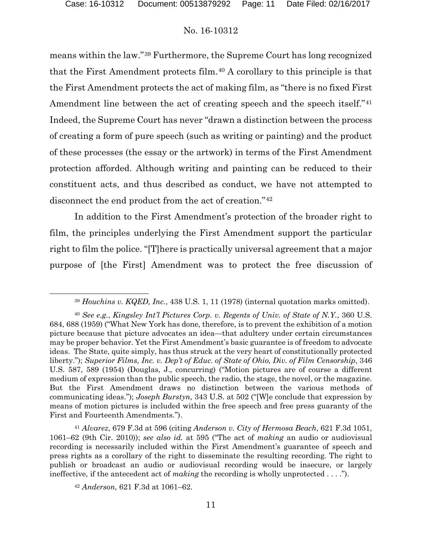means within the law."39 Furthermore, the Supreme Court has long recognized that the First Amendment protects film.40 A corollary to this principle is that the First Amendment protects the act of making film, as "there is no fixed First Amendment line between the act of creating speech and the speech itself."<sup>41</sup> Indeed, the Supreme Court has never "drawn a distinction between the process of creating a form of pure speech (such as writing or painting) and the product of these processes (the essay or the artwork) in terms of the First Amendment protection afforded. Although writing and painting can be reduced to their constituent acts, and thus described as conduct, we have not attempted to disconnect the end product from the act of creation."42

In addition to the First Amendment's protection of the broader right to film, the principles underlying the First Amendment support the particular right to film the police. "[T]here is practically universal agreement that a major purpose of [the First] Amendment was to protect the free discussion of

<sup>41</sup> *Alvarez*, 679 F.3d at 596 (citing *Anderson v. City of Hermosa Beach*, 621 F.3d 1051, 1061–62 (9th Cir. 2010)); *see also id.* at 595 ("The act of *making* an audio or audiovisual recording is necessarily included within the First Amendment's guarantee of speech and press rights as a corollary of the right to disseminate the resulting recording. The right to publish or broadcast an audio or audiovisual recording would be insecure, or largely ineffective, if the antecedent act of *making* the recording is wholly unprotected . . . .").

<sup>42</sup> *Anderson*, 621 F.3d at 1061–62.

 <sup>39</sup> *Houchins v. KQED, Inc.*, 438 U.S. 1, 11 (1978) (internal quotation marks omitted).

<sup>40</sup> *See e.g.*, *Kingsley Int'l Pictures Corp. v. Regents of Univ. of State of N.Y.*, 360 U.S. 684, 688 (1959) ("What New York has done, therefore, is to prevent the exhibition of a motion picture because that picture advocates an idea—that adultery under certain circumstances may be proper behavior. Yet the First Amendment's basic guarantee is of freedom to advocate ideas. The State, quite simply, has thus struck at the very heart of constitutionally protected liberty."); *Superior Films, Inc. v. Dep't of Educ. of State of Ohio, Div. of Film Censorship*, 346 U.S. 587, 589 (1954) (Douglas, J., concurring) ("Motion pictures are of course a different medium of expression than the public speech, the radio, the stage, the novel, or the magazine. But the First Amendment draws no distinction between the various methods of communicating ideas."); *Joseph Burstyn*, 343 U.S. at 502 ("[W]e conclude that expression by means of motion pictures is included within the free speech and free press guaranty of the First and Fourteenth Amendments.").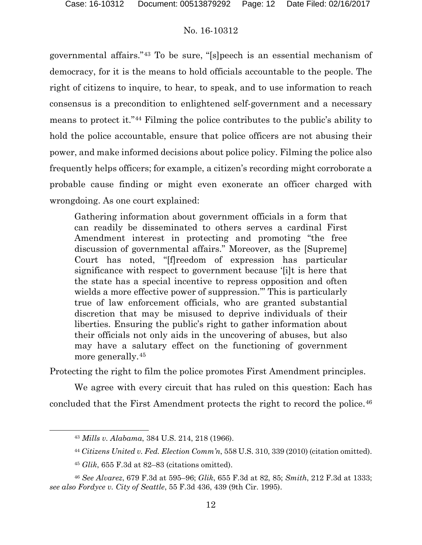governmental affairs."43 To be sure, "[s]peech is an essential mechanism of democracy, for it is the means to hold officials accountable to the people. The right of citizens to inquire, to hear, to speak, and to use information to reach consensus is a precondition to enlightened self-government and a necessary means to protect it."44 Filming the police contributes to the public's ability to hold the police accountable, ensure that police officers are not abusing their power, and make informed decisions about police policy. Filming the police also frequently helps officers; for example, a citizen's recording might corroborate a probable cause finding or might even exonerate an officer charged with wrongdoing. As one court explained:

Gathering information about government officials in a form that can readily be disseminated to others serves a cardinal First Amendment interest in protecting and promoting "the free discussion of governmental affairs." Moreover, as the [Supreme] Court has noted, "[f]reedom of expression has particular significance with respect to government because '[i]t is here that the state has a special incentive to repress opposition and often wields a more effective power of suppression.'" This is particularly true of law enforcement officials, who are granted substantial discretion that may be misused to deprive individuals of their liberties. Ensuring the public's right to gather information about their officials not only aids in the uncovering of abuses, but also may have a salutary effect on the functioning of government more generally.45

Protecting the right to film the police promotes First Amendment principles.

 We agree with every circuit that has ruled on this question: Each has concluded that the First Amendment protects the right to record the police.46

 <sup>43</sup> *Mills v. Alabama*, 384 U.S. 214, 218 (1966).

<sup>44</sup> *Citizens United v. Fed. Election Comm'n*, 558 U.S. 310, 339 (2010) (citation omitted).

<sup>45</sup> *Glik*, 655 F.3d at 82–83 (citations omitted).

<sup>46</sup> *See Alvarez*, 679 F.3d at 595–96; *Glik*, 655 F.3d at 82, 85; *Smith*, 212 F.3d at 1333; *see also Fordyce v. City of Seattle*, 55 F.3d 436, 439 (9th Cir. 1995).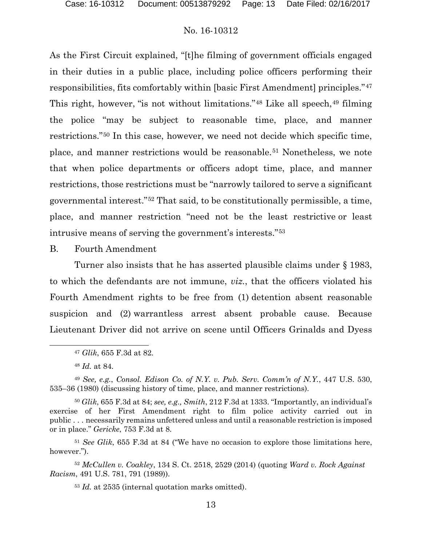As the First Circuit explained, "[t]he filming of government officials engaged in their duties in a public place, including police officers performing their responsibilities, fits comfortably within [basic First Amendment] principles."47 This right, however, "is not without limitations." $48$  Like all speech,  $49$  filming the police "may be subject to reasonable time, place, and manner restrictions."50 In this case, however, we need not decide which specific time, place, and manner restrictions would be reasonable.51 Nonetheless, we note that when police departments or officers adopt time, place, and manner restrictions, those restrictions must be "narrowly tailored to serve a significant governmental interest."52 That said, to be constitutionally permissible, a time, place, and manner restriction "need not be the least restrictive or least intrusive means of serving the government's interests."53

B. Fourth Amendment

Turner also insists that he has asserted plausible claims under § 1983, to which the defendants are not immune, *viz.*, that the officers violated his Fourth Amendment rights to be free from (1) detention absent reasonable suspicion and (2) warrantless arrest absent probable cause. Because Lieutenant Driver did not arrive on scene until Officers Grinalds and Dyess

l

<sup>51</sup> *See Glik*, 655 F.3d at 84 ("We have no occasion to explore those limitations here, however.").

<sup>52</sup> *McCullen v. Coakley*, 134 S. Ct. 2518, 2529 (2014) (quoting *Ward v. Rock Against Racism*, 491 U.S. 781, 791 (1989)).

<sup>53</sup> *Id.* at 2535 (internal quotation marks omitted).

<sup>47</sup> *Glik*, 655 F.3d at 82.

<sup>48</sup> *Id.* at 84.

<sup>49</sup> *See, e.g.*, *Consol. Edison Co. of N.Y. v. Pub. Serv. Comm'n of N.Y.*, 447 U.S. 530, 535–36 (1980) (discussing history of time, place, and manner restrictions).

<sup>50</sup> *Glik*, 655 F.3d at 84; *see, e.g., Smith*, 212 F.3d at 1333. "Importantly, an individual's exercise of her First Amendment right to film police activity carried out in public . . . necessarily remains unfettered unless and until a reasonable restriction is imposed or in place." *Gericke*, 753 F.3d at 8.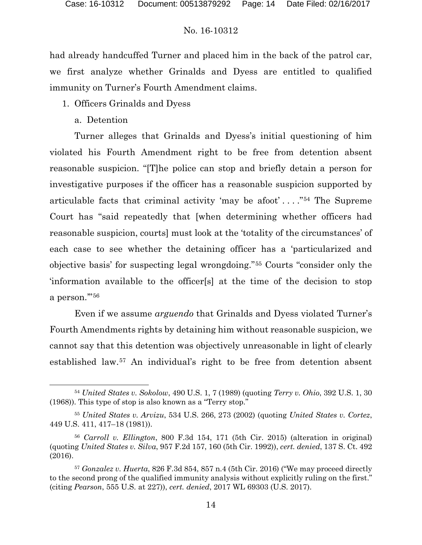had already handcuffed Turner and placed him in the back of the patrol car, we first analyze whether Grinalds and Dyess are entitled to qualified immunity on Turner's Fourth Amendment claims.

- 1. Officers Grinalds and Dyess
	- a. Detention

l

Turner alleges that Grinalds and Dyess's initial questioning of him violated his Fourth Amendment right to be free from detention absent reasonable suspicion. "[T]he police can stop and briefly detain a person for investigative purposes if the officer has a reasonable suspicion supported by articulable facts that criminal activity 'may be afoot' . . . ."54 The Supreme Court has "said repeatedly that [when determining whether officers had reasonable suspicion, courts] must look at the 'totality of the circumstances' of each case to see whether the detaining officer has a 'particularized and objective basis' for suspecting legal wrongdoing."55 Courts "consider only the 'information available to the officer[s] at the time of the decision to stop a person.'"56

Even if we assume *arguendo* that Grinalds and Dyess violated Turner's Fourth Amendments rights by detaining him without reasonable suspicion, we cannot say that this detention was objectively unreasonable in light of clearly established law.57 An individual's right to be free from detention absent

<sup>54</sup> *United States v. Sokolow*, 490 U.S. 1, 7 (1989) (quoting *Terry v. Ohio*, 392 U.S. 1, 30 (1968)). This type of stop is also known as a "Terry stop."

<sup>55</sup> *United States v. Arvizu*, 534 U.S. 266, 273 (2002) (quoting *United States v. Cortez*, 449 U.S. 411, 417–18 (1981)).

<sup>56</sup> *Carroll v. Ellington*, 800 F.3d 154, 171 (5th Cir. 2015) (alteration in original) (quoting *United States v. Silva*, 957 F.2d 157, 160 (5th Cir. 1992)), *cert. denied*, 137 S. Ct. 492 (2016).

<sup>57</sup> *Gonzalez v. Huerta*, 826 F.3d 854, 857 n.4 (5th Cir. 2016) ("We may proceed directly to the second prong of the qualified immunity analysis without explicitly ruling on the first." (citing *Pearson*, 555 U.S. at 227)), *cert. denied*, 2017 WL 69303 (U.S. 2017).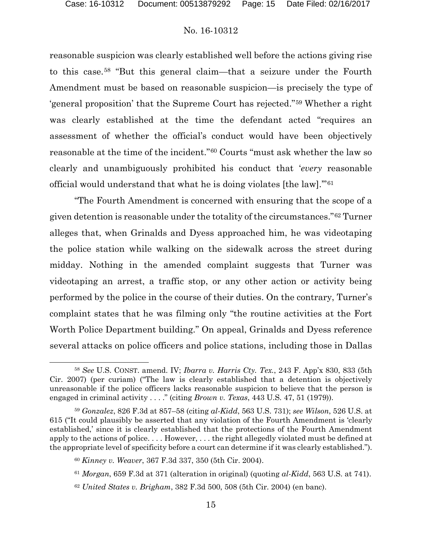reasonable suspicion was clearly established well before the actions giving rise to this case.58 "But this general claim—that a seizure under the Fourth Amendment must be based on reasonable suspicion—is precisely the type of 'general proposition' that the Supreme Court has rejected."59 Whether a right was clearly established at the time the defendant acted "requires an assessment of whether the official's conduct would have been objectively reasonable at the time of the incident."60 Courts "must ask whether the law so clearly and unambiguously prohibited his conduct that '*every* reasonable official would understand that what he is doing violates [the law].'"61

"The Fourth Amendment is concerned with ensuring that the scope of a given detention is reasonable under the totality of the circumstances."62 Turner alleges that, when Grinalds and Dyess approached him, he was videotaping the police station while walking on the sidewalk across the street during midday. Nothing in the amended complaint suggests that Turner was videotaping an arrest, a traffic stop, or any other action or activity being performed by the police in the course of their duties. On the contrary, Turner's complaint states that he was filming only "the routine activities at the Fort Worth Police Department building." On appeal, Grinalds and Dyess reference several attacks on police officers and police stations, including those in Dallas

 <sup>58</sup> *See* U.S. CONST. amend. IV; *Ibarra v. Harris Cty. Tex.*, 243 F. App'x 830, 833 (5th Cir. 2007) (per curiam) ("The law is clearly established that a detention is objectively unreasonable if the police officers lacks reasonable suspicion to believe that the person is engaged in criminal activity . . . ." (citing *Brown v. Texas*, 443 U.S. 47, 51 (1979)).

<sup>59</sup> *Gonzalez*, 826 F.3d at 857–58 (citing *al-Kidd*, 563 U.S. 731); *see Wilson*, 526 U.S. at 615 ("It could plausibly be asserted that any violation of the Fourth Amendment is 'clearly established,' since it is clearly established that the protections of the Fourth Amendment apply to the actions of police. . . . However, . . . the right allegedly violated must be defined at the appropriate level of specificity before a court can determine if it was clearly established.").

<sup>60</sup> *Kinney v. Weaver*, 367 F.3d 337, 350 (5th Cir. 2004).

<sup>61</sup> *Morgan*, 659 F.3d at 371 (alteration in original) (quoting *al-Kidd*, 563 U.S. at 741).

<sup>62</sup> *United States v. Brigham*, 382 F.3d 500, 508 (5th Cir. 2004) (en banc).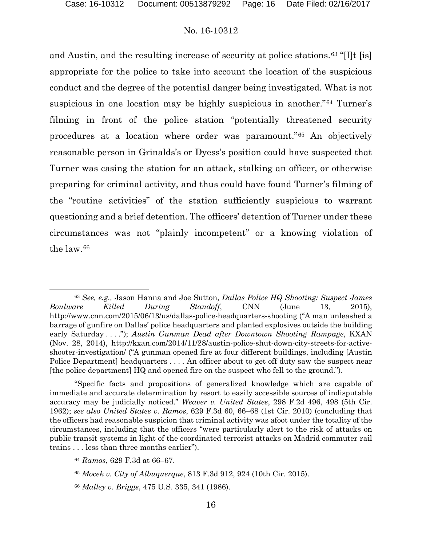and Austin, and the resulting increase of security at police stations.<sup>63</sup> "[I]t [is] appropriate for the police to take into account the location of the suspicious conduct and the degree of the potential danger being investigated. What is not suspicious in one location may be highly suspicious in another."64 Turner's filming in front of the police station "potentially threatened security procedures at a location where order was paramount."65 An objectively reasonable person in Grinalds's or Dyess's position could have suspected that Turner was casing the station for an attack, stalking an officer, or otherwise preparing for criminal activity, and thus could have found Turner's filming of the "routine activities" of the station sufficiently suspicious to warrant questioning and a brief detention. The officers' detention of Turner under these circumstances was not "plainly incompetent" or a knowing violation of the law.66

 <sup>63</sup> *See, e.g.,* Jason Hanna and Joe Sutton, *Dallas Police HQ Shooting: Suspect James Boulware Killed During Standoff*, CNN (June 13, 2015), http://www.cnn.com/2015/06/13/us/dallas-police-headquarters-shooting ("A man unleashed a barrage of gunfire on Dallas' police headquarters and planted explosives outside the building early Saturday . . . ."); *Austin Gunman Dead after Downtown Shooting Rampage*, KXAN (Nov. 28, 2014), http://kxan.com/2014/11/28/austin-police-shut-down-city-streets-for-activeshooter-investigation/ ("A gunman opened fire at four different buildings, including [Austin Police Department headquarters . . . . An officer about to get off duty saw the suspect near [the police department] HQ and opened fire on the suspect who fell to the ground.").

<sup>&</sup>quot;Specific facts and propositions of generalized knowledge which are capable of immediate and accurate determination by resort to easily accessible sources of indisputable accuracy may be judicially noticed." *Weaver v. United States*, 298 F.2d 496, 498 (5th Cir. 1962); *see also United States v. Ramos*, 629 F.3d 60, 66–68 (1st Cir. 2010) (concluding that the officers had reasonable suspicion that criminal activity was afoot under the totality of the circumstances, including that the officers "were particularly alert to the risk of attacks on public transit systems in light of the coordinated terrorist attacks on Madrid commuter rail trains . . . less than three months earlier").

<sup>64</sup> *Ramos*, 629 F.3d at 66–67.

<sup>65</sup> *Mocek v. City of Albuquerque*, 813 F.3d 912, 924 (10th Cir. 2015).

<sup>66</sup> *Malley v. Briggs*, 475 U.S. 335, 341 (1986).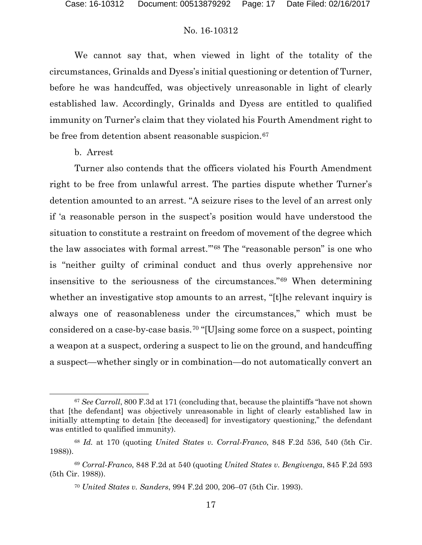We cannot say that, when viewed in light of the totality of the circumstances, Grinalds and Dyess's initial questioning or detention of Turner, before he was handcuffed, was objectively unreasonable in light of clearly established law. Accordingly, Grinalds and Dyess are entitled to qualified immunity on Turner's claim that they violated his Fourth Amendment right to be free from detention absent reasonable suspicion.<sup>67</sup>

### b. Arrest

l

Turner also contends that the officers violated his Fourth Amendment right to be free from unlawful arrest. The parties dispute whether Turner's detention amounted to an arrest. "A seizure rises to the level of an arrest only if 'a reasonable person in the suspect's position would have understood the situation to constitute a restraint on freedom of movement of the degree which the law associates with formal arrest.'"68 The "reasonable person" is one who is "neither guilty of criminal conduct and thus overly apprehensive nor insensitive to the seriousness of the circumstances."69 When determining whether an investigative stop amounts to an arrest, "[t]he relevant inquiry is always one of reasonableness under the circumstances," which must be considered on a case-by-case basis.70 "[U]sing some force on a suspect, pointing a weapon at a suspect, ordering a suspect to lie on the ground, and handcuffing a suspect—whether singly or in combination—do not automatically convert an

<sup>&</sup>lt;sup>67</sup> See Carroll, 800 F.3d at 171 (concluding that, because the plaintiffs "have not shown that [the defendant] was objectively unreasonable in light of clearly established law in initially attempting to detain [the deceased] for investigatory questioning," the defendant was entitled to qualified immunity).

<sup>68</sup> *Id.* at 170 (quoting *United States v. Corral-Franco*, 848 F.2d 536, 540 (5th Cir. 1988)).

<sup>69</sup> *Corral-Franco*, 848 F.2d at 540 (quoting *United States v. Bengivenga*, 845 F.2d 593 (5th Cir. 1988)).

<sup>70</sup> *United States v. Sanders*, 994 F.2d 200, 206–07 (5th Cir. 1993).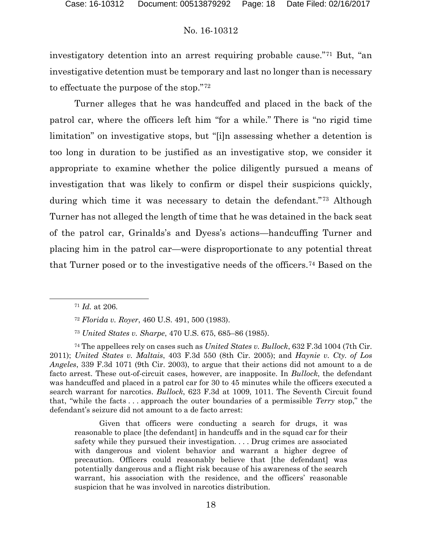investigatory detention into an arrest requiring probable cause."71 But, "an investigative detention must be temporary and last no longer than is necessary to effectuate the purpose of the stop."72

Turner alleges that he was handcuffed and placed in the back of the patrol car, where the officers left him "for a while." There is "no rigid time limitation" on investigative stops, but "[i]n assessing whether a detention is too long in duration to be justified as an investigative stop, we consider it appropriate to examine whether the police diligently pursued a means of investigation that was likely to confirm or dispel their suspicions quickly, during which time it was necessary to detain the defendant."73 Although Turner has not alleged the length of time that he was detained in the back seat of the patrol car, Grinalds's and Dyess's actions—handcuffing Turner and placing him in the patrol car—were disproportionate to any potential threat that Turner posed or to the investigative needs of the officers.74 Based on the

<sup>71</sup> *Id.* at 206.

<sup>72</sup> *Florida v. Royer*, 460 U.S. 491, 500 (1983).

<sup>73</sup> *United States v. Sharpe*, 470 U.S. 675, 685–86 (1985).

<sup>74</sup> The appellees rely on cases such as *United States v. Bullock*, 632 F.3d 1004 (7th Cir. 2011); *United States v. Maltais*, 403 F.3d 550 (8th Cir. 2005); and *Haynie v. Cty. of Los Angeles*, 339 F.3d 1071 (9th Cir. 2003), to argue that their actions did not amount to a de facto arrest. These out-of-circuit cases, however, are inapposite. In *Bullock*, the defendant was handcuffed and placed in a patrol car for 30 to 45 minutes while the officers executed a search warrant for narcotics. *Bullock*, 623 F.3d at 1009, 1011. The Seventh Circuit found that, "while the facts . . . approach the outer boundaries of a permissible *Terry* stop," the defendant's seizure did not amount to a de facto arrest:

Given that officers were conducting a search for drugs, it was reasonable to place [the defendant] in handcuffs and in the squad car for their safety while they pursued their investigation. . . . Drug crimes are associated with dangerous and violent behavior and warrant a higher degree of precaution. Officers could reasonably believe that [the defendant] was potentially dangerous and a flight risk because of his awareness of the search warrant, his association with the residence, and the officers' reasonable suspicion that he was involved in narcotics distribution.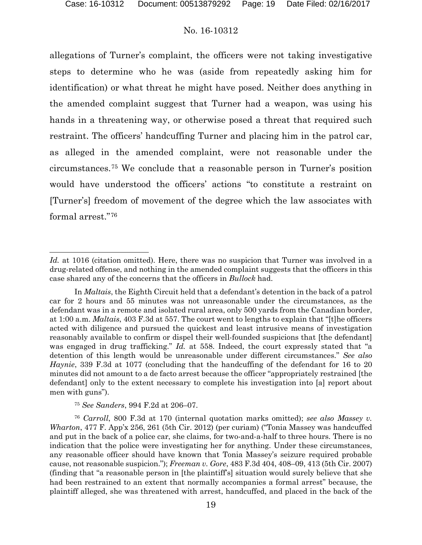l

### No. 16-10312

allegations of Turner's complaint, the officers were not taking investigative steps to determine who he was (aside from repeatedly asking him for identification) or what threat he might have posed. Neither does anything in the amended complaint suggest that Turner had a weapon, was using his hands in a threatening way, or otherwise posed a threat that required such restraint. The officers' handcuffing Turner and placing him in the patrol car, as alleged in the amended complaint, were not reasonable under the circumstances.75 We conclude that a reasonable person in Turner's position would have understood the officers' actions "to constitute a restraint on [Turner's] freedom of movement of the degree which the law associates with formal arrest."76

<sup>75</sup> *See Sanders*, 994 F.2d at 206–07.

<sup>76</sup> *Carroll*, 800 F.3d at 170 (internal quotation marks omitted); *see also Massey v. Wharton*, 477 F. App'x 256, 261 (5th Cir. 2012) (per curiam) ("Tonia Massey was handcuffed and put in the back of a police car, she claims, for two-and-a-half to three hours. There is no indication that the police were investigating her for anything. Under these circumstances, any reasonable officer should have known that Tonia Massey's seizure required probable cause, not reasonable suspicion."); *Freeman v. Gore*, 483 F.3d 404, 408–09, 413 (5th Cir. 2007) (finding that "a reasonable person in [the plaintiff's] situation would surely believe that she had been restrained to an extent that normally accompanies a formal arrest" because, the plaintiff alleged, she was threatened with arrest, handcuffed, and placed in the back of the

*Id.* at 1016 (citation omitted). Here, there was no suspicion that Turner was involved in a drug-related offense, and nothing in the amended complaint suggests that the officers in this case shared any of the concerns that the officers in *Bullock* had.

In *Maltais*, the Eighth Circuit held that a defendant's detention in the back of a patrol car for 2 hours and 55 minutes was not unreasonable under the circumstances, as the defendant was in a remote and isolated rural area, only 500 yards from the Canadian border, at 1:00 a.m. *Maltais*, 403 F.3d at 557. The court went to lengths to explain that "[t]he officers acted with diligence and pursued the quickest and least intrusive means of investigation reasonably available to confirm or dispel their well-founded suspicions that [the defendant] was engaged in drug trafficking." *Id.* at 558. Indeed, the court expressly stated that "a detention of this length would be unreasonable under different circumstances." *See also Haynie*, 339 F.3d at 1077 (concluding that the handcuffing of the defendant for 16 to 20 minutes did not amount to a de facto arrest because the officer "appropriately restrained [the defendant] only to the extent necessary to complete his investigation into [a] report about men with guns").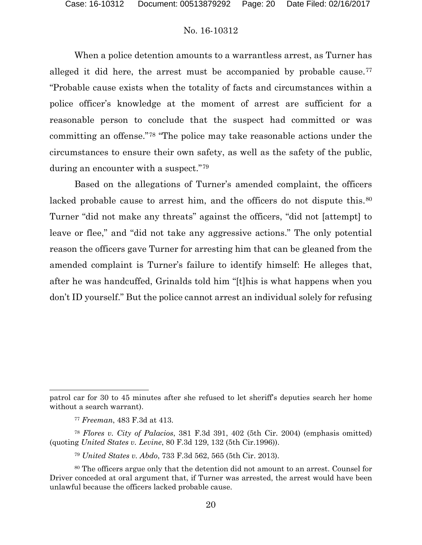When a police detention amounts to a warrantless arrest, as Turner has alleged it did here, the arrest must be accompanied by probable cause.<sup>77</sup> "Probable cause exists when the totality of facts and circumstances within a police officer's knowledge at the moment of arrest are sufficient for a reasonable person to conclude that the suspect had committed or was committing an offense."78 "The police may take reasonable actions under the circumstances to ensure their own safety, as well as the safety of the public, during an encounter with a suspect."79

Based on the allegations of Turner's amended complaint, the officers lacked probable cause to arrest him, and the officers do not dispute this.<sup>80</sup> Turner "did not make any threats" against the officers, "did not [attempt] to leave or flee," and "did not take any aggressive actions." The only potential reason the officers gave Turner for arresting him that can be gleaned from the amended complaint is Turner's failure to identify himself: He alleges that, after he was handcuffed, Grinalds told him "[t]his is what happens when you don't ID yourself." But the police cannot arrest an individual solely for refusing

l

<sup>79</sup> *United States v. Abdo*, 733 F.3d 562, 565 (5th Cir. 2013).

patrol car for 30 to 45 minutes after she refused to let sheriff's deputies search her home without a search warrant).

<sup>77</sup> *Freeman*, 483 F.3d at 413.

<sup>78</sup> *Flores v. City of Palacios*, 381 F.3d 391, 402 (5th Cir. 2004) (emphasis omitted) (quoting *United States v. Levine*, 80 F.3d 129, 132 (5th Cir.1996)).

<sup>80</sup> The officers argue only that the detention did not amount to an arrest. Counsel for Driver conceded at oral argument that, if Turner was arrested, the arrest would have been unlawful because the officers lacked probable cause.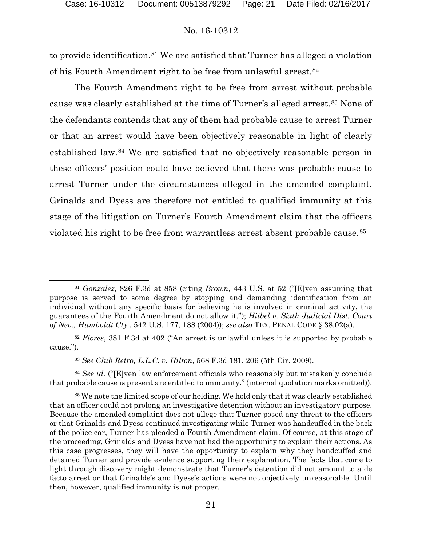l

### No. 16-10312

to provide identification.81 We are satisfied that Turner has alleged a violation of his Fourth Amendment right to be free from unlawful arrest.82

The Fourth Amendment right to be free from arrest without probable cause was clearly established at the time of Turner's alleged arrest.83 None of the defendants contends that any of them had probable cause to arrest Turner or that an arrest would have been objectively reasonable in light of clearly established law.84 We are satisfied that no objectively reasonable person in these officers' position could have believed that there was probable cause to arrest Turner under the circumstances alleged in the amended complaint. Grinalds and Dyess are therefore not entitled to qualified immunity at this stage of the litigation on Turner's Fourth Amendment claim that the officers violated his right to be free from warrantless arrest absent probable cause.<sup>85</sup>

<sup>83</sup> *See Club Retro, L.L.C. v. Hilton*, 568 F.3d 181, 206 (5th Cir. 2009).

<sup>84</sup> *See id.* ("[E]ven law enforcement officials who reasonably but mistakenly conclude that probable cause is present are entitled to immunity." (internal quotation marks omitted)).

<sup>81</sup> *Gonzalez*, 826 F.3d at 858 (citing *Brown*, 443 U.S. at 52 ("[E]ven assuming that purpose is served to some degree by stopping and demanding identification from an individual without any specific basis for believing he is involved in criminal activity, the guarantees of the Fourth Amendment do not allow it."); *Hiibel v. Sixth Judicial Dist. Court of Nev., Humboldt Cty.*, 542 U.S. 177, 188 (2004)); *see also* TEX. PENAL CODE § 38.02(a).

<sup>82</sup> *Flores*, 381 F.3d at 402 ("An arrest is unlawful unless it is supported by probable cause.").

<sup>85</sup> We note the limited scope of our holding. We hold only that it was clearly established that an officer could not prolong an investigative detention without an investigatory purpose. Because the amended complaint does not allege that Turner posed any threat to the officers or that Grinalds and Dyess continued investigating while Turner was handcuffed in the back of the police car, Turner has pleaded a Fourth Amendment claim. Of course, at this stage of the proceeding, Grinalds and Dyess have not had the opportunity to explain their actions. As this case progresses, they will have the opportunity to explain why they handcuffed and detained Turner and provide evidence supporting their explanation. The facts that come to light through discovery might demonstrate that Turner's detention did not amount to a de facto arrest or that Grinalds's and Dyess's actions were not objectively unreasonable. Until then, however, qualified immunity is not proper.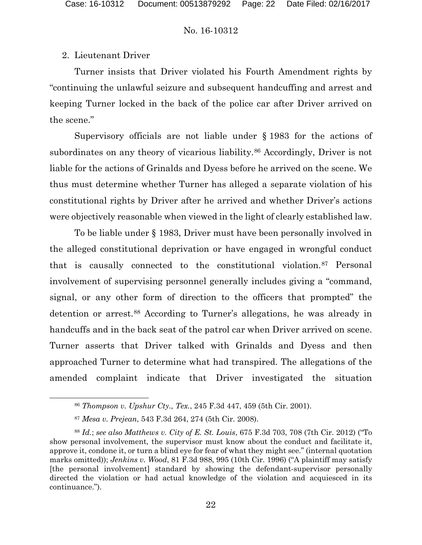# 2. Lieutenant Driver

Turner insists that Driver violated his Fourth Amendment rights by "continuing the unlawful seizure and subsequent handcuffing and arrest and keeping Turner locked in the back of the police car after Driver arrived on the scene."

Supervisory officials are not liable under § 1983 for the actions of subordinates on any theory of vicarious liability.<sup>86</sup> Accordingly, Driver is not liable for the actions of Grinalds and Dyess before he arrived on the scene. We thus must determine whether Turner has alleged a separate violation of his constitutional rights by Driver after he arrived and whether Driver's actions were objectively reasonable when viewed in the light of clearly established law.

To be liable under § 1983, Driver must have been personally involved in the alleged constitutional deprivation or have engaged in wrongful conduct that is causally connected to the constitutional violation.87 Personal involvement of supervising personnel generally includes giving a "command, signal, or any other form of direction to the officers that prompted" the detention or arrest.88 According to Turner's allegations, he was already in handcuffs and in the back seat of the patrol car when Driver arrived on scene. Turner asserts that Driver talked with Grinalds and Dyess and then approached Turner to determine what had transpired. The allegations of the amended complaint indicate that Driver investigated the situation

<sup>86</sup> *Thompson v. Upshur Cty., Tex.*, 245 F.3d 447, 459 (5th Cir. 2001).

<sup>87</sup> *Mesa v. Prejean*, 543 F.3d 264, 274 (5th Cir. 2008).

<sup>88</sup> *Id.*; *see also Matthews v. City of E. St. Louis*, 675 F.3d 703, 708 (7th Cir. 2012) ("To show personal involvement, the supervisor must know about the conduct and facilitate it, approve it, condone it, or turn a blind eye for fear of what they might see." (internal quotation marks omitted)); *Jenkins v. Wood*, 81 F.3d 988, 995 (10th Cir. 1996) ("A plaintiff may satisfy [the personal involvement] standard by showing the defendant-supervisor personally directed the violation or had actual knowledge of the violation and acquiesced in its continuance.").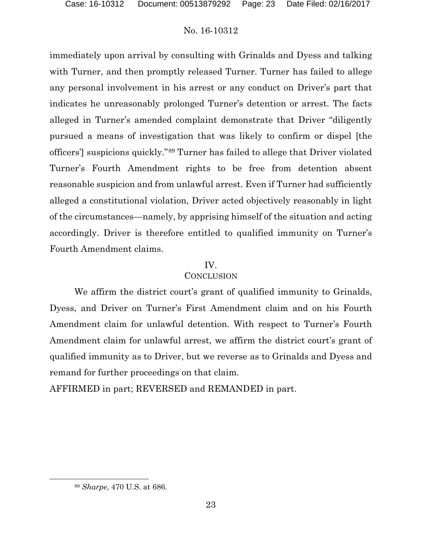immediately upon arrival by consulting with Grinalds and Dyess and talking with Turner, and then promptly released Turner. Turner has failed to allege any personal involvement in his arrest or any conduct on Driver's part that indicates he unreasonably prolonged Turner's detention or arrest. The facts alleged in Turner's amended complaint demonstrate that Driver "diligently pursued a means of investigation that was likely to confirm or dispel [the officers'] suspicions quickly."89 Turner has failed to allege that Driver violated Turner's Fourth Amendment rights to be free from detention absent reasonable suspicion and from unlawful arrest. Even if Turner had sufficiently alleged a constitutional violation, Driver acted objectively reasonably in light of the circumstances—namely, by apprising himself of the situation and acting accordingly. Driver is therefore entitled to qualified immunity on Turner's Fourth Amendment claims.

## IV.

# **CONCLUSION**

We affirm the district court's grant of qualified immunity to Grinalds, Dyess, and Driver on Turner's First Amendment claim and on his Fourth Amendment claim for unlawful detention. With respect to Turner's Fourth Amendment claim for unlawful arrest, we affirm the district court's grant of qualified immunity as to Driver, but we reverse as to Grinalds and Dyess and remand for further proceedings on that claim.

AFFIRMED in part; REVERSED and REMANDED in part.

<sup>89</sup> *Sharpe*, 470 U.S. at 686.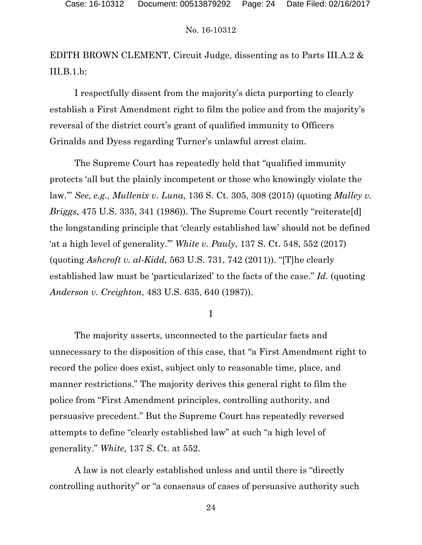EDITH BROWN CLEMENT, Circuit Judge, dissenting as to Parts III.A.2 & III.B.1.b:

I respectfully dissent from the majority's dicta purporting to clearly establish a First Amendment right to film the police and from the majority's reversal of the district court's grant of qualified immunity to Officers Grinalds and Dyess regarding Turner's unlawful arrest claim.

 The Supreme Court has repeatedly held that "qualified immunity protects 'all but the plainly incompetent or those who knowingly violate the law.'" *See*, *e.g.*, *Mullenix v. Luna*, 136 S. Ct. 305, 308 (2015) (quoting *Malley v. Briggs*, 475 U.S. 335, 341 (1986)). The Supreme Court recently "reiterate[d] the longstanding principle that 'clearly established law' should not be defined 'at a high level of generality.'" *White v. Pauly*, 137 S. Ct. 548, 552 (2017) (quoting *Ashcroft v. al-Kidd*, 563 U.S. 731, 742 (2011)). "[T]he clearly established law must be 'particularized' to the facts of the case." *Id.* (quoting *Anderson v. Creighton*, 483 U.S. 635, 640 (1987)).

I

The majority asserts, unconnected to the particular facts and unnecessary to the disposition of this case, that "a First Amendment right to record the police does exist, subject only to reasonable time, place, and manner restrictions." The majority derives this general right to film the police from "First Amendment principles, controlling authority, and persuasive precedent." But the Supreme Court has repeatedly reversed attempts to define "clearly established law" at such "a high level of generality." *White*, 137 S. Ct. at 552.

A law is not clearly established unless and until there is "directly controlling authority" or "a consensus of cases of persuasive authority such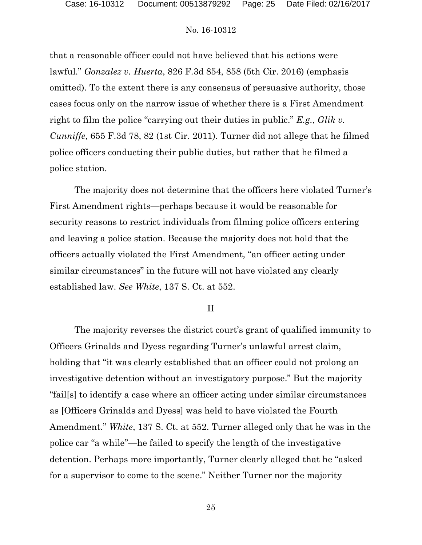that a reasonable officer could not have believed that his actions were lawful." *Gonzalez v. Huerta*, 826 F.3d 854, 858 (5th Cir. 2016) (emphasis omitted). To the extent there is any consensus of persuasive authority, those cases focus only on the narrow issue of whether there is a First Amendment right to film the police "carrying out their duties in public." *E.g.*, *Glik v. Cunniffe*, 655 F.3d 78, 82 (1st Cir. 2011). Turner did not allege that he filmed police officers conducting their public duties, but rather that he filmed a police station.

The majority does not determine that the officers here violated Turner's First Amendment rights—perhaps because it would be reasonable for security reasons to restrict individuals from filming police officers entering and leaving a police station. Because the majority does not hold that the officers actually violated the First Amendment, "an officer acting under similar circumstances" in the future will not have violated any clearly established law. *See White*, 137 S. Ct. at 552.

### II

The majority reverses the district court's grant of qualified immunity to Officers Grinalds and Dyess regarding Turner's unlawful arrest claim, holding that "it was clearly established that an officer could not prolong an investigative detention without an investigatory purpose." But the majority "fail[s] to identify a case where an officer acting under similar circumstances as [Officers Grinalds and Dyess] was held to have violated the Fourth Amendment." *White*, 137 S. Ct. at 552. Turner alleged only that he was in the police car "a while"—he failed to specify the length of the investigative detention. Perhaps more importantly, Turner clearly alleged that he "asked for a supervisor to come to the scene." Neither Turner nor the majority